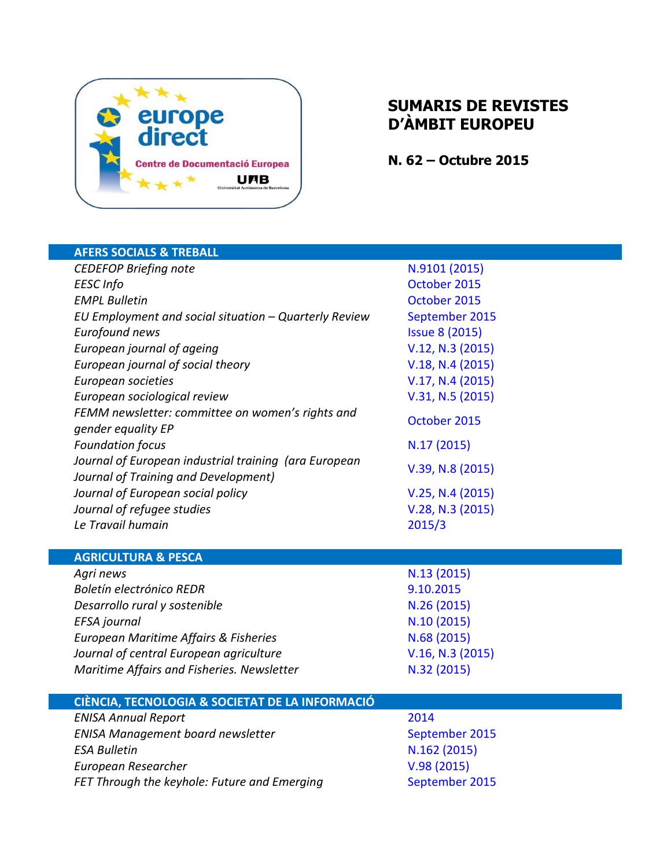

## **SUMARIS DE REVISTES D'ÀMBIT EUROPEU**

**N. 62 – Octubre 2015**

| <b>AFERS SOCIALS &amp; TREBALL</b>                                  |                              |
|---------------------------------------------------------------------|------------------------------|
| <b>CEDEFOP Briefing note</b>                                        | N.9101 (2015)                |
| <b>EESC</b> Info                                                    | October 2015                 |
| <b>EMPL Bulletin</b>                                                | October 2015                 |
| EU Employment and social situation - Quarterly Review               | September 2015               |
| Eurofound news                                                      | <b>Issue 8 (2015)</b>        |
| European journal of ageing                                          | V.12, N.3 (2015)             |
| European journal of social theory                                   | V.18, N.4 (2015)             |
| European societies                                                  | V.17, N.4 (2015)             |
| European sociological review                                        | V.31, N.5 (2015)             |
| FEMM newsletter: committee on women's rights and                    | October 2015                 |
| gender equality EP                                                  |                              |
| <b>Foundation focus</b>                                             | N.17(2015)                   |
| Journal of European industrial training (ara European               | $V.39, N.8$ (2015)           |
| Journal of Training and Development)                                |                              |
| Journal of European social policy                                   | V.25, N.4 (2015)             |
| Journal of refugee studies                                          | V.28, N.3 (2015)             |
|                                                                     |                              |
| Le Travail humain                                                   | 2015/3                       |
|                                                                     |                              |
| <b>AGRICULTURA &amp; PESCA</b>                                      |                              |
| Agri news                                                           | N.13 (2015)                  |
| Boletín electrónico REDR                                            | 9.10.2015                    |
| Desarrollo rural y sostenible                                       | N.26 (2015)                  |
| EFSA journal                                                        | N.10 (2015)                  |
| European Maritime Affairs & Fisheries                               | N.68 (2015)                  |
| Journal of central European agriculture                             | V.16, N.3 (2015)             |
| Maritime Affairs and Fisheries. Newsletter                          | N.32 (2015)                  |
|                                                                     |                              |
| CIÈNCIA, TECNOLOGIA & SOCIETAT DE LA INFORMACIÓ                     |                              |
| <b>ENISA Annual Report</b>                                          | 2014                         |
| <b>ENISA Management board newsletter</b>                            | September 2015               |
| <b>ESA Bulletin</b>                                                 | N.162 (2015)                 |
| European Researcher<br>FET Through the keyhole: Future and Emerging | V.98(2015)<br>September 2015 |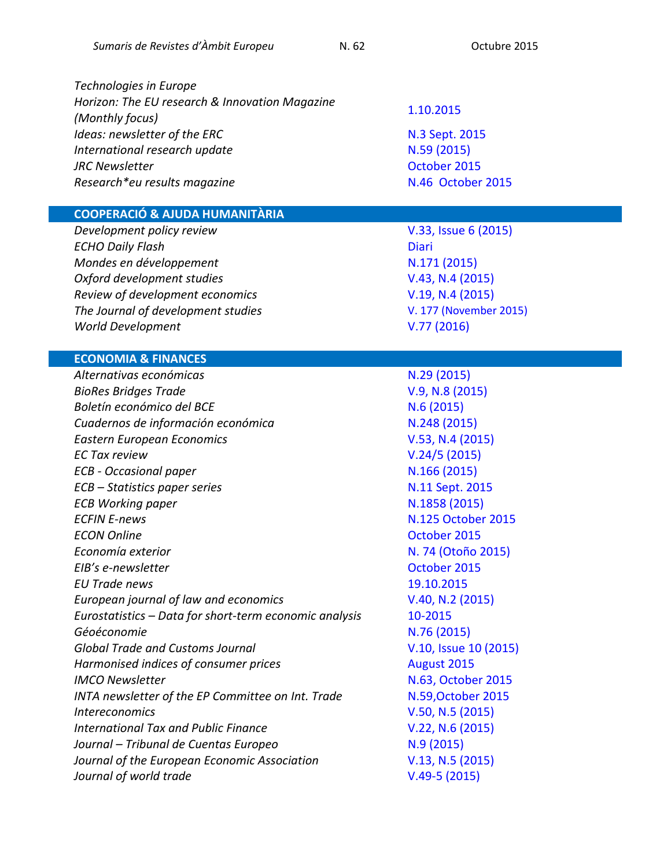*Horizon: The EU research & Innovation Magazine*

*Technologies in Europe* 

## **COOPERACIÓ & AJUDA HUMANITÀRIA**

*Development policy review* [V.33, Issue 6](http://onlinelibrary.wiley.com/doi/10.1111/dpr.2015.33.issue-6/issuetoc) (2015) *ECHO Daily Flash* [Diari](http://erccportal.jrc.ec.europa.eu/ECHO-Flash/Last-15-ECHO-Flash) *Mondes en développement*  $N.171 (2015)$  $N.171 (2015)$ *Oxford development studies* [V.43, N.4](http://www.tandfonline.com/toc/cods20/current) (2015) *Review of development economics* [V.19, N.4](http://onlinelibrary.wiley.com/doi/10.1111/rode.2015.19.issue-4/issuetoc) (2015) *The Journal of development studies* [V. 177 \(November 2015\)](http://www.sciencedirect.com/science/journal/03043878/117) *World Development* 

### **ECONOMIA & FINANCES**

*Alternativas económicas* and the set of the N.29 [\(2015\)](http://alternativaseconomicas.coop/revista/mensual/numero-29) *BioRes Bridges Trade* [V.9, N.8](http://www.ictsd.org/bridges-news/biores/issue-archive/tracking-sustainability-across-value-chains) (2015) *Boletín económico del BCE* N.6 [\(2015\)](http://www.bde.es/bde/es/secciones/informes/Publicaciones_de/boletin-economic/) **Cuadernos de información económica N.248 [\(2015\)](http://www.funcas.es/publicaciones/Sumario.aspx?IdRef=3-06248)** *Eastern European Economics* [V.53, N.4](http://www.scopus.com/source/sourceInfo.uri?sourceId=19458) (2015) *EC Tax review* [V.24/5](http://www.kluwerlawonline.com/toc.php?area=Journals&mode=bypub&level=5&values=Journals~~EC+Tax+Review~Volume+24+%282015%29) (2015) *ECB - Occasional paper* **N.166 [\(2015\)](https://www.ecb.europa.eu/pub/pdf/scpops/ecbop166.en.pdf)** *ECB – Statistics paper series* and *N.11 [Sept.](http://www.ecb.europa.eu/pub/pdf/scpsps/ecbsp11.en.pdf) 2015 ECB Working paper* **[N.1858](http://www.ecb.europa.eu/pub/pdf/scpwps/ecbwp1858.en.pdf) (2015) ECFIN E-news N.125 [October 2015](http://ec.europa.eu/economy_finance/enewsletter/125_151016/)** *ECON Online* **CON** *CON Online CON Economía exterior* N. 74 [\(Otoño 2015\)](http://www.politicaexterior.com/economia-exterior/) *EIB's e-newsletter* and *EIB's e-newsletter* and *EIB's e-newsletter* and *EIB*'s e-newsletter and *EIB*'s e-newsletter *EU Trade news* [19.10.2015](http://trade.ec.europa.eu/eutn/psendmessage.htm?tranid=11589) *European journal of law and economics* [V.40, N.2](http://link.springer.com/journal/10657/40/2/page/1) (2015) *Eurostatistics – Data for short-term economic analysis* [10-2015](http://ec.europa.eu/eurostat/en/web/products-statistical-books/-/KS-BJ-15-010) *Géoéconomie* N.76 [\(2015\)](http://www.cairn.info/revue-geoeconomie-2015-4.htm) *Global Trade and Customs Journal* [V.10, Issue 10](http://www.kluwerlawonline.com/toc.php?area=Journals&mode=bypub&level=5&values=Journals~~Global+Trade+and+Customs+Journal~Volume+10+%282015%29) (2015) *Harmonised indices of consumer prices* and the setting and all algust 2015 *IMCO Newsletter* **[N.63, October](https://polcms.secure.europarl.europa.eu/cmsdata/upload/599383a8-55b8-428a-a8ac-e6841fcefaff/IMCO_newsletter_63.pdf) 2015** *INTA newsletter of the EP Committee on Int. Trade* M.59,October 2015 *Intereconomics* [V.50, N.5](http://link.springer.com/journal/10272/50/5/page/1) (2015) *International Tax and Public Finance* **[V.22, N.6](http://search.proquest.com/publicationissue/F73B89E0BBA4435DPQ/$7b$22limiters$22:$5b$5d,$22mqlversion$22:$221.1$22,$22additionalnavs$22:$5b$5d,$22v$22:$221$22,$22sort$22:$22DateDesc$22,$22param$22:$7b$7d,$22serializer$22:$22std1.5$22,$22searchterms$22:$5b$7b$22name$22:$22$22,$22qry$22:$2226110$22,$22fld$22:$22pubid$22,$22top$22:$22AND$22$7d$5d,$22navs$22:$5b$5d,$22meta$22:$7b$22UsageSearchMode$22:$22Publication$22,$22publication.search.filter$22:$22Dec+2015$3b++Vol.+22+$286$29$22,$22dbselections$22:$22unassigned$7cdissertations$7carts$7cnews$7cliterature$7chealth$7cbusiness$7cscience$7chistory$7csocialsciences$22,$22SEARCH_ID_TIMESTAMP$22:$221446210379676$22,$22publication.name$22:$22International+Tax+and+Public+Finance$22$7d,$22querytype$22:$22pubbrowseDescending:OS$22$7d/1/International+Tax+and+Public+Finance/02015Y12Y01$23Dec+2015$3b++Vol.+22+$286$29?accountid=15292) (2015)** *Journal – Tribunal de Cuentas Europeo* (1994) 1946 [\(2015\)](http://www.eca.europa.eu/Lists/ECADocuments/JOURNAL15_10/JOURNAL15_10_EN.pdf) *Journal of the European Economic Association* **[V.13, N.5 \(2015\)](http://onlinelibrary.wiley.com/doi/10.1111/jeea.2015.13.issue-5/issuetoc)** *Journal of world trade*  $V.49-5$  (2015)

# *(Monthly focus)* [1.10.2015](http://horizon-magazine.eu/article/making-sense-senses_en.html)

*Ideas: newsletter of the ERC* M.3 Sept. 2015 *International research update* **N.59 [\(2015\)](http://ec.europa.eu/research/iscp/pdf/newsletter/international-research-update_59_september-2015.pdf#view=fit&pagemode=none)** *JRC Newsletter* **Community Community Community Community Community Community [October](http://ec.europa.eu/newsroom/eusciencehubnews/newsletter-specific-archive-issue.cfm?newsletter_service_id=169&newsletter_issue_id=446&page=1&fullDate=Fri%2009%20Oct%202015&lang=default) 2015 Research\*eu results magazine N.46 [October](http://cordis.europa.eu/research-eu/magazine_en.html) 2015** 

V.77 [\(2016\)](http://www.sciencedirect.com/science/journal/0305750X/77)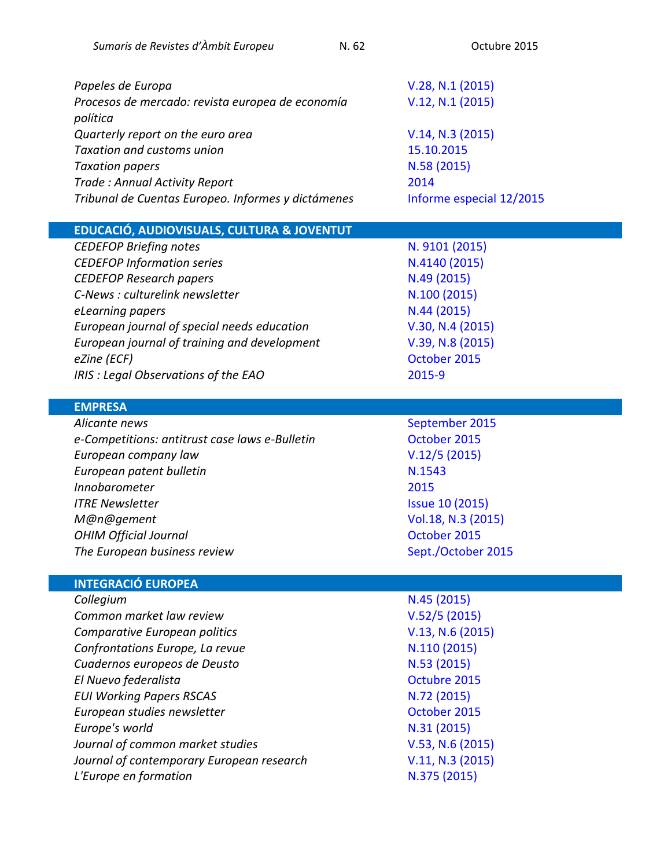| Papeles de Europa                                            | V.28, N.1 (2015)         |
|--------------------------------------------------------------|--------------------------|
| Procesos de mercado: revista europea de economía<br>política | V.12, N.1 (2015)         |
| Quarterly report on the euro area                            | V.14, N.3 (2015)         |
| <b>Taxation and customs union</b>                            | 15.10.2015               |
| <b>Taxation papers</b>                                       | N.58 (2015)              |
| Trade: Annual Activity Report                                | 2014                     |
| Tribunal de Cuentas Europeo. Informes y dictámenes           | Informe especial 12/2015 |

**EDUCACIÓ, AUDIOVISUALS, CULTURA & JOVENTUT**

*CEDEFOP Briefing notes* **[N. 9101](http://www.cedefop.europa.eu/en/publications-and-resources/publications/9101) (2015)** *CEDEFOP Information series* **[N.4140](http://www.cedefop.europa.eu/en/publications-and-resources/publications/4140) (2015)** *CEDEFOP Research papers* **N.49 [\(2015\)](http://www.cedefop.europa.eu/en/publications-and-resources/publications/5549)** *C-News : culturelink newsletter* M.100 [\(2015\)](http://culturelink.org/news/c-news/2015/c-news-100.html) *eLearning papers* N.44 [\(2015\)](http://openeducationeuropa.eu/sites/default/files/old/The-Teacher) *European journal of special needs education* **[V.30, N.4](http://www.tandfonline.com/toc/rejs20/current) (2015)** *European journal of training and development* [V.39, N.8](http://www.emeraldinsight.com/toc/ejtd/39/8) (2015) *eZine (ECF)* [October 2015](http://us3.campaign-archive1.com/?u=18d3e4c2f6eba867fb23be611&id=7ef66d9455) *IRIS : Legal Observations of the EAO* [2015-9](http://merlin.obs.coe.int/newsletter.php)

#### **EMPRESA**

**Alicante news [September](https://oami.europa.eu/tunnel-web/secure/webdav/guest/document_library/contentPdfs/about_ohim/alicante_news/alicantenewsSeptember2015_en.pdf) 2015** *e-Competitions: antitrust case laws e-Bulletin* **Company Constant** [October](http://www.concurrences.com/Bulletin/?lang=en) 2015 *European company law* [V.12/5](http://www.kluwerlawonline.com/toc.php?area=Journals&mode=bypub&level=5&values=Journals~~European+Company+Law~Volume+12+%282015%29) (2015) **European patent bulletin [N.1543](http://application.epo.org/bulletin/bulletin1543.pdf)** *Innobarometer* [2015](http://ec.europa.eu/growth/industry/innovation/facts-figures/innobarometer/index_en.htm) *ITRE Newsletter* **ISSUE 10 (2015)** *M@n@gement* [Vol.18, N.3](http://www.cairn-int.info/journal-management-2015-3.htm) (2015) **OHIM Official Journal COMIC CONSTRUCTER OCTOBER 2015 The European business review Manufacture 10 [Sept./October 2015](http://www.exacteditions.com/read/tebr/september-october-2015-46235/1/2/)** 

#### **INTEGRACIÓ EUROPEA**

| N.45 (2015)      |
|------------------|
| V.52/5(2015)     |
| V.13, N.6 (2015) |
| N.110 (2015)     |
| N.53 (2015)      |
| Octubre 2015     |
| N.72 (2015)      |
| October 2015     |
| N.31 (2015)      |
| V.53, N.6 (2015) |
| V.11, N.3 (2015) |
| N.375 (2015)     |
|                  |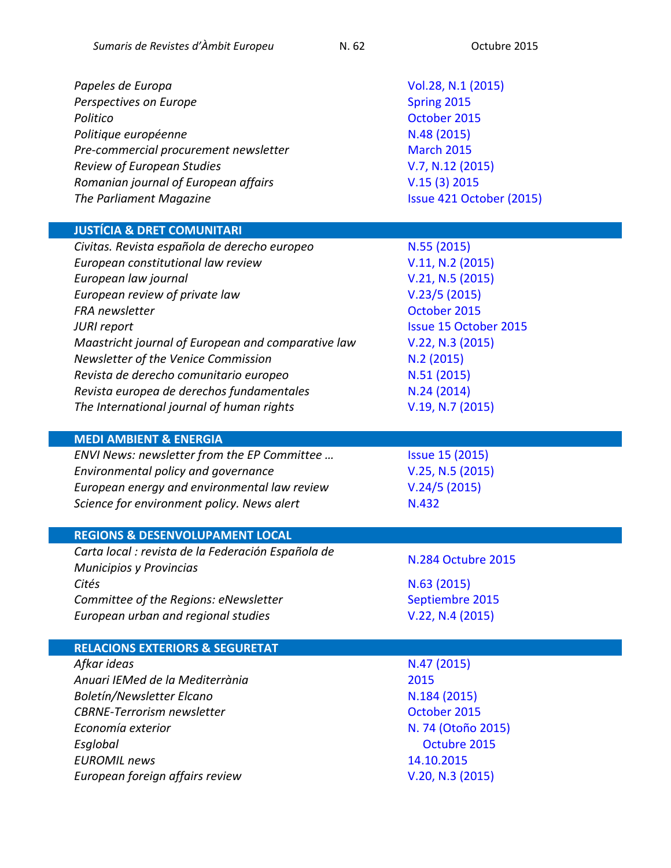*Papeles de Europa* [Vol.28, N.1](http://revistas.ucm.es/index.php/PADE/issue/current) (2015) **Perspectives on Europe**  [Spring](http://councilforeuropeanstudies.org/publications/perspectives-on-europe) 2015 *Politico* **Contract Contract Contract Contract Contract Contract Contract Contract Contract Contract Contract Contract Contract Contract Contract Contract Contract Contract Contract Contract Contract Contract Contract Con** *Politique européenne* et a comme de la politique de la politique de la politique de la politique de la politique de la politique de la politique de la politique de la politique de la politique de la politique de la politi **Pre-commercial procurement newsletter** [March](https://ec.europa.eu/digital-agenda/en/pre-commercial-procurement) 2015 *Review of European Studies* [V.7, N.12](http://www.ccsenet.org/journal/index.php/res/issue/view/1432) (2015) *Romanian journal of European affairs* [V.15 \(3\) 2015](http://search.proquest.com/publication/75965) **The Parliament Magazine [Issue 421 October](https://www.theparliamentmagazine.eu/articles/magazines/issue-421-19-october-2015) (2015)** 

#### **JUSTÍCIA & DRET COMUNITARI**

*Civitas. Revista española de derecho europeo* N.55 [\(2015\)](http://dialnet.unirioja.es/servlet/revista?codigo=3157) *European constitutional law review* [V.11, N.2](http://journals.cambridge.org/action/displayJournal?jid=ECL) (2015) *European law journal* [V.21, N.5](http://onlinelibrary.wiley.com/doi/10.1111/eulj.v21.5/issuetoc) (2015) *European review of private law* [V.23/5](http://www.kluwerlawonline.com/toc.php?area=Journals&mode=bypub&level=5&values=Journals~~European+Review+of+Private+Law~Volume+23+%282015%29) (2015) **FRA newsletter**  The control of the control of the control of the Control of the Control of the Control of the Control of the Control of the Control of the Control of the Control of the Control of the Control of the Contr *JURI report* [Issue 15 October](https://polcms.secure.europarl.europa.eu/cmsdata/upload/ba2ae7b4-2e64-42d1-bf92-9b093604a024/JURI_Report_Oct2015.pdf) 2015 *Maastricht journal of European and comparative law* [V.22, N.3](http://dialnet.unirioja.es/servlet/revista?codigo=14995) (2015) *Newsletter of the Venice Commission* **N.2 [\(2015\)](http://www.venice.coe.int/WebForms/pages/?p=04_Newsletter)** *Revista de derecho comunitario europeo* N.51 [\(2015\)](http://dialnet.unirioja.es/servlet/revista?codigo=1142) Revista europea de derechos fundamentales **N.24 [\(2014\)](http://dialnet.unirioja.es/servlet/revista?codigo=5833)** *The International journal of human rights* **[V.19, N.7](http://www.tandfonline.com/toc/fjhr20/current) (2015)** 

#### **MEDI AMBIENT & ENERGIA**

*ENVI News: newsletter from the EP Committee ...* [Issue 15](https://polcms.secure.europarl.europa.eu/cmsdata/upload/acc4f3b6-3d8c-49a4-8ca7-a560ffc3d7d3/ENVI%20News%20October%202015%20final.pdf) (2015) *Environmental policy and governance* [V.25, N.5](http://onlinelibrary.wiley.com/doi/10.1002/eet.v25.5/issuetoc) (2015) *European energy and environmental law review* [V.24/5](http://www.kluwerlawonline.com/toc.php?area=Journals&mode=bypub&level=5&values=Journals~~European+Energy+and+Environmental+Law+Review~Volume+24+%282015%29) (2015) *Science for environment policy. News alert* M.432

#### **REGIONS & DESENVOLUPAMENT LOCAL**

*Carta local : revista de la Federación Española de Municipios y Provincias* [N.284 Octubre](http://www.cartalocal.es/CartaLocal/Front/Version_impresa/VersionImpresa/_sYcniRvuy5l6V01YGndaV-vNXHNH8H8ryGncLTPLm_s) <sup>2015</sup> *Cités* N.63 [\(2015\)](http://www.cairn-int.info/journal-cites-2015-3.htm) *Committee of the Regions: eNewsletter* entitled the [Septiembre](http://cor.europa.eu/en/news/Pages/enewsletter.aspx) 2015 *European urban and regional studies*  $V.22, N.4 (2015)$  $V.22, N.4 (2015)$ 

#### **RELACIONS EXTERIORS & SEGURETAT**

**Afkar ideas** N.47 [\(2015\)](http://www.politicaexterior.com/afkar-ideas/archivo/) *Anuari IEMed de la Mediterrània* [2015](http://www.iemed.org/publicacions/historic-de-publicacions/anuari-de-la-mediterrania/anuari-iemed-de-la-mediterrania-2015) *Boletín/Newsletter Elcano* **N.184 [\(2015\)](http://www.realinstitutoelcano.org/wps/portal/rielcano_en/NewsletterView?WCM_GLOBAL_CONTEXT=/elcano/elcano_in/boletin-newsletter/boletin-newsletter184) CBRNE-Terrorism newsletter CBRNE-Terrorism newsletter CBRNE-Terrorism** *Economía exterior* N. 74 [\(Otoño](http://www.politicaexterior.com/economia-exterior/?numeroRevista=74) 2015) *Esglobal* [Octubre](http://www.esglobal.org/2015/10/) 2015 *EUROMIL news* [14.10.2015](http://euromil.org/news/) *European foreign affairs review*  $V.20, N.3$  (2015)